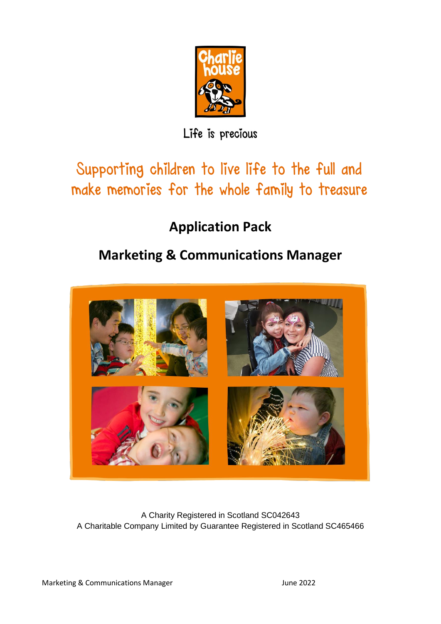

Life is precious

# Supporting children to live life to the full and make memories for the whole family to treasure

**Application Pack**

# **Marketing & Communications Manager**



A Charity Registered in Scotland SC042643 A Charitable Company Limited by Guarantee Registered in Scotland SC465466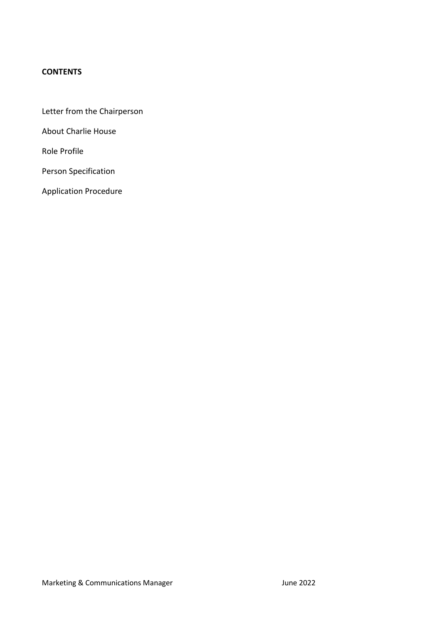### **CONTENTS**

- Letter from the Chairperson
- About Charlie House

Role Profile

Person Specification

Application Procedure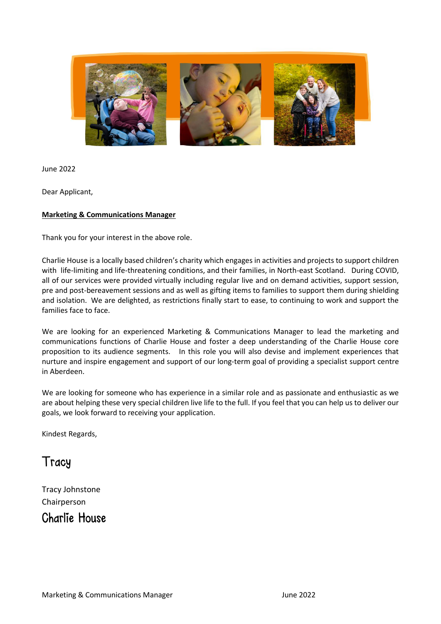

June 2022

Dear Applicant,

### **Marketing & Communications Manager**

Thank you for your interest in the above role.

Charlie House is a locally based children's charity which engages in activities and projects to support children with life-limiting and life-threatening conditions, and their families, in North-east Scotland. During COVID, all of our services were provided virtually including regular live and on demand activities, support session, pre and post-bereavement sessions and as well as gifting items to families to support them during shielding and isolation. We are delighted, as restrictions finally start to ease, to continuing to work and support the families face to face.

We are looking for an experienced Marketing & Communications Manager to lead the marketing and communications functions of Charlie House and foster a deep understanding of the Charlie House core proposition to its audience segments. In this role you will also devise and implement experiences that nurture and inspire engagement and support of our long-term goal of providing a specialist support centre in Aberdeen.

We are looking for someone who has experience in a similar role and as passionate and enthusiastic as we are about helping these very special children live life to the full. If you feel that you can help us to deliver our goals, we look forward to receiving your application.

Kindest Regards,

## Tracy

Tracy Johnstone Chairperson Charlie House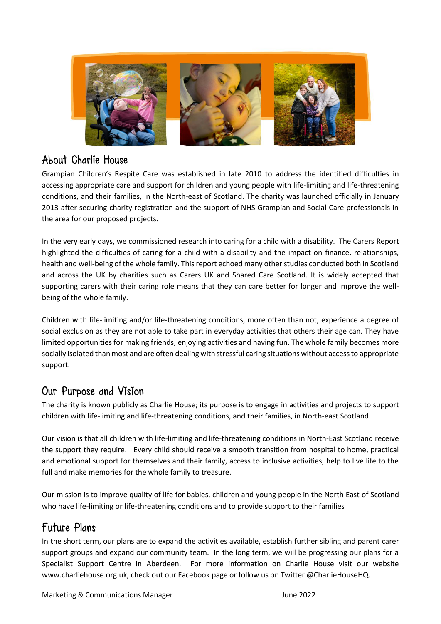

# About Charlie House

Grampian Children's Respite Care was established in late 2010 to address the identified difficulties in accessing appropriate care and support for children and young people with life-limiting and life-threatening conditions, and their families, in the North-east of Scotland. The charity was launched officially in January 2013 after securing charity registration and the support of NHS Grampian and Social Care professionals in the area for our proposed projects.

In the very early days, we commissioned research into caring for a child with a disability. The Carers Report highlighted the difficulties of caring for a child with a disability and the impact on finance, relationships, health and well-being of the whole family. This report echoed many other studies conducted both in Scotland and across the UK by charities such as Carers UK and Shared Care Scotland. It is widely accepted that supporting carers with their caring role means that they can care better for longer and improve the wellbeing of the whole family.

Children with life-limiting and/or life-threatening conditions, more often than not, experience a degree of social exclusion as they are not able to take part in everyday activities that others their age can. They have limited opportunities for making friends, enjoying activities and having fun. The whole family becomes more socially isolated than most and are often dealing with stressful caring situations without access to appropriate support.

### Our Purpose and Vision

The charity is known publicly as Charlie House; its purpose is to engage in activities and projects to support children with life-limiting and life-threatening conditions, and their families, in North-east Scotland.

Our vision is that all children with life-limiting and life-threatening conditions in North-East Scotland receive the support they require. Every child should receive a smooth transition from hospital to home, practical and emotional support for themselves and their family, access to inclusive activities, help to live life to the full and make memories for the whole family to treasure.

Our mission is to improve quality of life for babies, children and young people in the North East of Scotland who have life-limiting or life-threatening conditions and to provide support to their families

## Future Plans

In the short term, our plans are to expand the activities available, establish further sibling and parent carer support groups and expand our community team. In the long term, we will be progressing our plans for a Specialist Support Centre in Aberdeen. For more information on Charlie House visit our website www.charliehouse.org.uk, check out our Facebook page or follow us on Twitter @CharlieHouseHQ.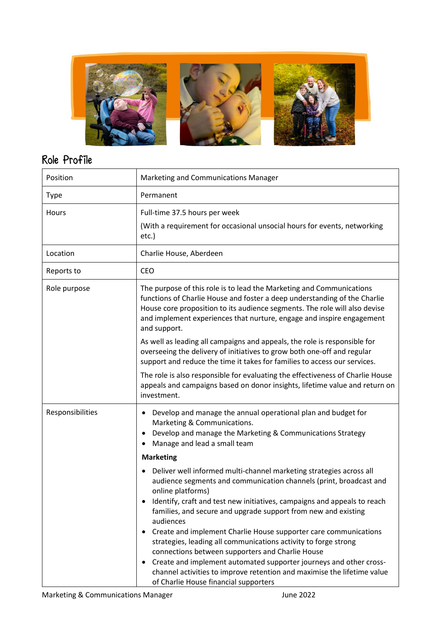

# Role Profile

| Position         | Marketing and Communications Manager                                                                                                                                                                                                                                                                                     |
|------------------|--------------------------------------------------------------------------------------------------------------------------------------------------------------------------------------------------------------------------------------------------------------------------------------------------------------------------|
| <b>Type</b>      | Permanent                                                                                                                                                                                                                                                                                                                |
| <b>Hours</b>     | Full-time 37.5 hours per week<br>(With a requirement for occasional unsocial hours for events, networking<br>etc.)                                                                                                                                                                                                       |
| Location         | Charlie House, Aberdeen                                                                                                                                                                                                                                                                                                  |
| Reports to       | <b>CEO</b>                                                                                                                                                                                                                                                                                                               |
| Role purpose     | The purpose of this role is to lead the Marketing and Communications<br>functions of Charlie House and foster a deep understanding of the Charlie<br>House core proposition to its audience segments. The role will also devise<br>and implement experiences that nurture, engage and inspire engagement<br>and support. |
|                  | As well as leading all campaigns and appeals, the role is responsible for<br>overseeing the delivery of initiatives to grow both one-off and regular<br>support and reduce the time it takes for families to access our services.                                                                                        |
|                  | The role is also responsible for evaluating the effectiveness of Charlie House<br>appeals and campaigns based on donor insights, lifetime value and return on<br>investment.                                                                                                                                             |
| Responsibilities | Develop and manage the annual operational plan and budget for<br>٠<br>Marketing & Communications.<br>Develop and manage the Marketing & Communications Strategy<br>٠<br>Manage and lead a small team<br>٠                                                                                                                |
|                  | <b>Marketing</b>                                                                                                                                                                                                                                                                                                         |
|                  | Deliver well informed multi-channel marketing strategies across all<br>٠<br>audience segments and communication channels (print, broadcast and<br>online platforms)                                                                                                                                                      |
|                  | Identify, craft and test new initiatives, campaigns and appeals to reach<br>families, and secure and upgrade support from new and existing<br>audiences                                                                                                                                                                  |
|                  | Create and implement Charlie House supporter care communications<br>٠<br>strategies, leading all communications activity to forge strong<br>connections between supporters and Charlie House                                                                                                                             |
|                  | Create and implement automated supporter journeys and other cross-<br>٠<br>channel activities to improve retention and maximise the lifetime value<br>of Charlie House financial supporters                                                                                                                              |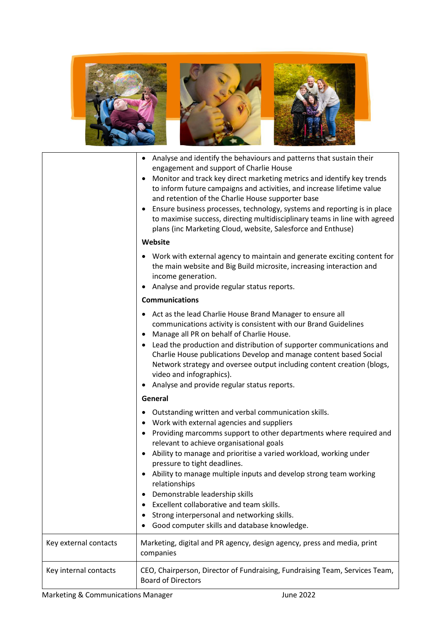

|                       | Analyse and identify the behaviours and patterns that sustain their<br>engagement and support of Charlie House<br>Monitor and track key direct marketing metrics and identify key trends<br>to inform future campaigns and activities, and increase lifetime value<br>and retention of the Charlie House supporter base<br>Ensure business processes, technology, systems and reporting is in place<br>to maximise success, directing multidisciplinary teams in line with agreed<br>plans (inc Marketing Cloud, website, Salesforce and Enthuse)                                                |
|-----------------------|--------------------------------------------------------------------------------------------------------------------------------------------------------------------------------------------------------------------------------------------------------------------------------------------------------------------------------------------------------------------------------------------------------------------------------------------------------------------------------------------------------------------------------------------------------------------------------------------------|
|                       | Website                                                                                                                                                                                                                                                                                                                                                                                                                                                                                                                                                                                          |
|                       | Work with external agency to maintain and generate exciting content for<br>the main website and Big Build microsite, increasing interaction and<br>income generation.<br>Analyse and provide regular status reports.                                                                                                                                                                                                                                                                                                                                                                             |
|                       | <b>Communications</b>                                                                                                                                                                                                                                                                                                                                                                                                                                                                                                                                                                            |
|                       | Act as the lead Charlie House Brand Manager to ensure all<br>communications activity is consistent with our Brand Guidelines<br>Manage all PR on behalf of Charlie House.<br>Lead the production and distribution of supporter communications and<br>Charlie House publications Develop and manage content based Social<br>Network strategy and oversee output including content creation (blogs,<br>video and infographics).<br>Analyse and provide regular status reports.                                                                                                                     |
|                       | General                                                                                                                                                                                                                                                                                                                                                                                                                                                                                                                                                                                          |
|                       | Outstanding written and verbal communication skills.<br>Work with external agencies and suppliers<br>Providing marcomms support to other departments where required and<br>relevant to achieve organisational goals<br>Ability to manage and prioritise a varied workload, working under<br>pressure to tight deadlines.<br>Ability to manage multiple inputs and develop strong team working<br>relationships<br>Demonstrable leadership skills<br>Excellent collaborative and team skills.<br>Strong interpersonal and networking skills.<br>Good computer skills and database knowledge.<br>٠ |
| Key external contacts | Marketing, digital and PR agency, design agency, press and media, print<br>companies                                                                                                                                                                                                                                                                                                                                                                                                                                                                                                             |
| Key internal contacts | CEO, Chairperson, Director of Fundraising, Fundraising Team, Services Team,<br><b>Board of Directors</b>                                                                                                                                                                                                                                                                                                                                                                                                                                                                                         |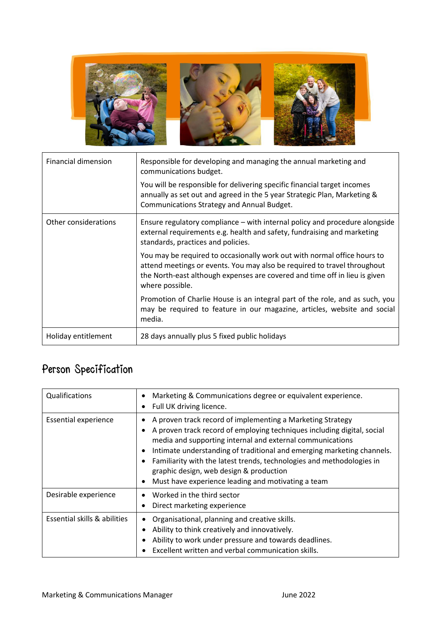

| Financial dimension  | Responsible for developing and managing the annual marketing and<br>communications budget.                                                                                                                                                            |
|----------------------|-------------------------------------------------------------------------------------------------------------------------------------------------------------------------------------------------------------------------------------------------------|
|                      | You will be responsible for delivering specific financial target incomes<br>annually as set out and agreed in the 5 year Strategic Plan, Marketing &<br>Communications Strategy and Annual Budget.                                                    |
| Other considerations | Ensure regulatory compliance – with internal policy and procedure alongside<br>external requirements e.g. health and safety, fundraising and marketing<br>standards, practices and policies.                                                          |
|                      | You may be required to occasionally work out with normal office hours to<br>attend meetings or events. You may also be required to travel throughout<br>the North-east although expenses are covered and time off in lieu is given<br>where possible. |
|                      | Promotion of Charlie House is an integral part of the role, and as such, you<br>may be required to feature in our magazine, articles, website and social<br>media.                                                                                    |
| Holiday entitlement  | 28 days annually plus 5 fixed public holidays                                                                                                                                                                                                         |

# Person Specification

| Qualifications               | Marketing & Communications degree or equivalent experience.<br>Full UK driving licence.                                                                                                                                                                                                                                                                                                                                                                |
|------------------------------|--------------------------------------------------------------------------------------------------------------------------------------------------------------------------------------------------------------------------------------------------------------------------------------------------------------------------------------------------------------------------------------------------------------------------------------------------------|
| <b>Essential experience</b>  | A proven track record of implementing a Marketing Strategy<br>A proven track record of employing techniques including digital, social<br>media and supporting internal and external communications<br>Intimate understanding of traditional and emerging marketing channels.<br>Familiarity with the latest trends, technologies and methodologies in<br>graphic design, web design & production<br>Must have experience leading and motivating a team |
| Desirable experience         | Worked in the third sector<br>Direct marketing experience                                                                                                                                                                                                                                                                                                                                                                                              |
| Essential skills & abilities | Organisational, planning and creative skills.<br>Ability to think creatively and innovatively.<br>Ability to work under pressure and towards deadlines.<br>Excellent written and verbal communication skills.                                                                                                                                                                                                                                          |